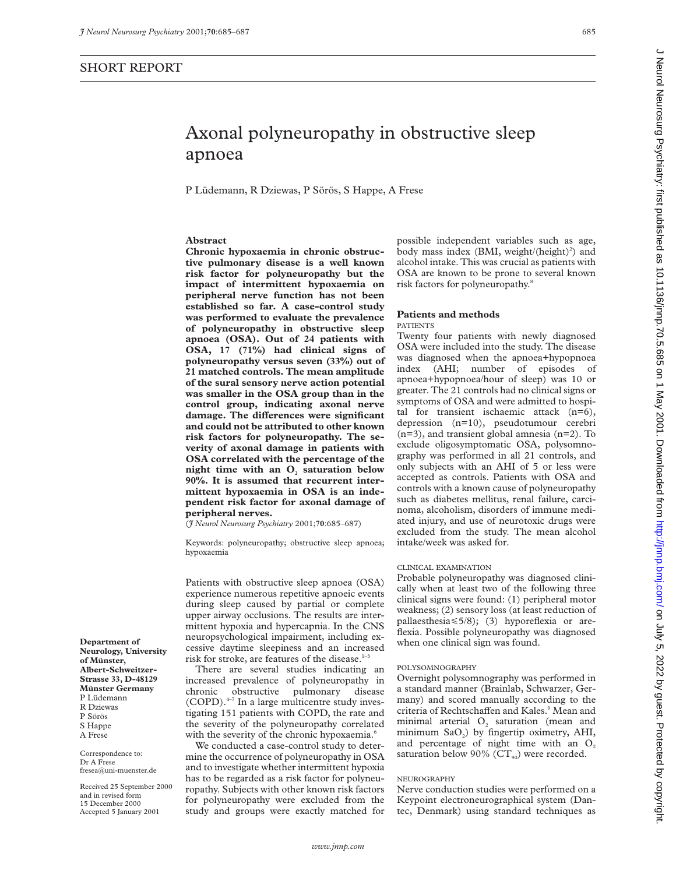# SHORT REPORT

**Department of Neurology, University of Münster, Albert-Schweitzer-Strasse 33, D-48129 Münster Germany** P Lüdemann R Dziewas P Sörös S Happe A Frese

Correspondence to: Dr A Frese fresea@uni-muenster.de Received 25 September 2000 and in revised form 15 December 2000 Accepted 5 January 2001

P Lüdemann, R Dziewas, P Sörös, S Happe, A Frese

# **Abstract**

**Chronic hypoxaemia in chronic obstructive pulmonary disease is a well known risk factor for polyneuropathy but the impact of intermittent hypoxaemia on peripheral nerve function has not been established so far. A case-control study was performed to evaluate the prevalence of polyneuropathy in obstructive sleep apnoea (OSA). Out of 24 patients with OSA, 17 (71%) had clinical signs of polyneuropathy versus seven (33%) out of 21 matched controls. The mean amplitude of the sural sensory nerve action potential was smaller in the OSA group than in the control group, indicating axonal nerve** damage. The differences were significant **and could not be attributed to other known risk factors for polyneuropathy. The severity of axonal damage in patients with OSA correlated with the percentage of the** night time with an O<sub>2</sub> saturation below **90%. It is assumed that recurrent intermittent hypoxaemia in OSA is an independent risk factor for axonal damage of peripheral nerves.**

(*J Neurol Neurosurg Psychiatry* 2001;**70**:685–687)

Keywords: polyneuropathy; obstructive sleep apnoea; hypoxaemia

Patients with obstructive sleep apnoea (OSA) experience numerous repetitive apnoeic events during sleep caused by partial or complete upper airway occlusions. The results are intermittent hypoxia and hypercapnia. In the CNS neuropsychological impairment, including excessive daytime sleepiness and an increased risk for stroke, are features of the disease.<sup>1</sup>

There are several studies indicating an increased prevalence of polyneuropathy in chronic obstructive pulmonary disease  $(COPD)$ .<sup> $4-7$ </sup> In a large multicentre study investigating 151 patients with COPD, the rate and the severity of the polyneuropathy correlated with the severity of the chronic hypoxaemia.<sup>6</sup>

We conducted a case-control study to determine the occurrence of polyneuropathy in OSA and to investigate whether intermittent hypoxia has to be regarded as a risk factor for polyneuropathy. Subjects with other known risk factors for polyneuropathy were excluded from the study and groups were exactly matched for

possible independent variables such as age, body mass index (BMI, weight/(height)<sup>2</sup>) and alcohol intake. This was crucial as patients with OSA are known to be prone to several known risk factors for polyneuropathy.<sup>8</sup>

# **Patients and methods**

PATIENTS

Twenty four patients with newly diagnosed OSA were included into the study. The disease was diagnosed when the apnoea+hypopnoea index (AHI; number of episodes of apnoea+hypopnoea/hour of sleep) was 10 or greater. The 21 controls had no clinical signs or symptoms of OSA and were admitted to hospital for transient ischaemic attack (n=6), depression (n=10), pseudotumour cerebri (n=3), and transient global amnesia (n=2). To exclude oligosymptomatic OSA, polysomnography was performed in all 21 controls, and only subjects with an AHI of 5 or less were accepted as controls. Patients with OSA and controls with a known cause of polyneuropathy such as diabetes mellitus, renal failure, carcinoma, alcoholism, disorders of immune mediated injury, and use of neurotoxic drugs were excluded from the study. The mean alcohol intake/week was asked for.

#### CLINICAL EXAMINATION

Probable polyneuropathy was diagnosed clinically when at least two of the following three clinical signs were found: (1) peripheral motor weakness; (2) sensory loss (at least reduction of pallaesthesia $\leq 5/8$ ; (3) hyporeflexia or areflexia. Possible polyneuropathy was diagnosed when one clinical sign was found.

## POLYSOMNOGRAPHY

Overnight polysomnography was performed in a standard manner (Brainlab, Schwarzer, Germany) and scored manually according to the criteria of Rechtschaffen and Kales.<sup>9</sup> Mean and minimal arterial  $O<sub>2</sub>$  saturation (mean and minimum  $SaO<sub>2</sub>$ ) by fingertip oximetry, AHI, and percentage of night time with an  $O<sub>2</sub>$ saturation below 90% ( $CT_{90}$ ) were recorded.

# NEUROGRAPHY

Nerve conduction studies were performed on a Keypoint electroneurographical system (Dantec, Denmark) using standard techniques as J Neurol Neurosurg Psychiatry: first published as 10.11136/jnnp.70.5.685 on 1 May 2001. Downloaded from http://jnnp.bmj.com/ on July 5, 2022 by guest. Protected by copyright Deurol July 5, 2022 by guest. Protected by copyright. How is 10.1136/jnnp.70.5.685 on 1 May 2001. Downloaded from http://jnnp.published by July 8, 2022 on July 6, 2022 ind. First published as 10.1136/jnnp.70.7.685 on Univ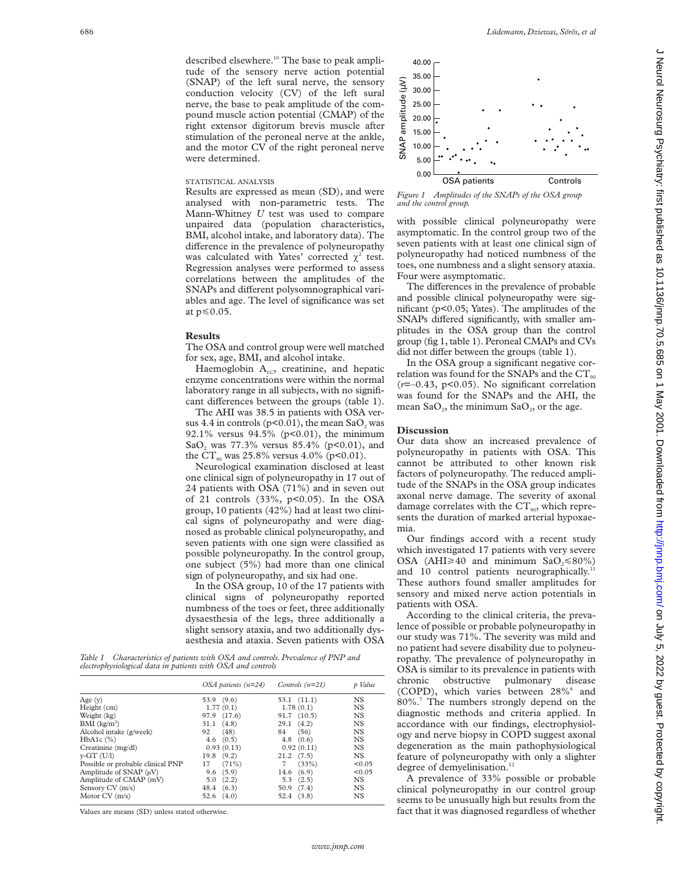### STATISTICAL ANALYSIS

were determined.

Results are expressed as mean (SD), and were analysed with non-parametric tests. The Mann-Whitney *U* test was used to compare unpaired data (population characteristics, BMI, alcohol intake, and laboratory data). The difference in the prevalence of polyneuropathy was calculated with Yates' corrected  $\chi^2$  test. Regression analyses were performed to assess correlations between the amplitudes of the SNAPs and different polysomnographical variables and age. The level of significance was set at  $p \leq 0.05$ .

and the motor CV of the right peroneal nerve

### **Results**

The OSA and control group were well matched for sex, age, BMI, and alcohol intake.

Haemoglobin  $A_{1C}$ , creatinine, and hepatic enzyme concentrations were within the normal laboratory range in all subjects, with no significant differences between the groups (table 1).

The AHI was 38.5 in patients with OSA versus  $4.4$  in controls ( $p<0.01$ ), the mean SaO<sub>2</sub> was 92.1% versus 94.5% ( $p<0.01$ ), the minimum SaO<sub>2</sub> was  $77.3\%$  versus  $85.4\%$  (p<0.01), and the  $CT_{90}$  was 25.8% versus 4.0% (p<0.01).

Neurological examination disclosed at least one clinical sign of polyneuropathy in 17 out of 24 patients with OSA (71%) and in seven out of 21 controls  $(33\%, p<0.05)$ . In the OSA group, 10 patients (42%) had at least two clinical signs of polyneuropathy and were diagnosed as probable clinical polyneuropathy, and seven patients with one sign were classified as possible polyneuropathy. In the control group, one subject (5%) had more than one clinical sign of polyneuropathy, and six had one.

In the OSA group, 10 of the 17 patients with clinical signs of polyneuropathy reported numbness of the toes or feet, three additionally dysaesthesia of the legs, three additionally a slight sensory ataxia, and two additionally dysaesthesia and ataxia. Seven patients with OSA

|                                                             |  |  |  | Table 1 Characteristics of patients with OSA and controls. Prevalence of PNP and |  |
|-------------------------------------------------------------|--|--|--|----------------------------------------------------------------------------------|--|
| electrophysiological data in patients with OSA and controls |  |  |  |                                                                                  |  |

|                                   | OSA patients $(n=24)$ | Controls $(n=21)$    | p Value   |
|-----------------------------------|-----------------------|----------------------|-----------|
| Age $(v)$                         | 53.9 (9.6)            | $53.1$ $(11.1)$      | <b>NS</b> |
| Height (cm)                       | 1.77(0.1)             | 1.78(0.1)            | <b>NS</b> |
| Weight (kg)                       | 97.9 (17.6)           | $91.7$ $(10.5)$      | <b>NS</b> |
| BMI (kg/m <sup>2</sup> )          | (4.8)<br>31.1         | $29.1 \quad (4.2)$   | <b>NS</b> |
| Alcohol intake (g/week)           | 92<br>(48)            | 84<br>(56)           | <b>NS</b> |
| $HbA1c$ $(\%)$                    | $4.6$ $(0.5)$         | $4.8$ $(0.6)$        | <b>NS</b> |
| Creatinine (mg/dl)                | 0.93(0.13)            | 0.92(0.11)           | <b>NS</b> |
| $v$ -GT $(U/I)$                   | $19.8$ $(9.2)$        | $21.2 \quad (7.5)$   | <b>NS</b> |
| Possible or probable clinical PNP | $(71\%)$<br>17        | (33%)<br>$7^{\circ}$ | < 0.05    |
| Amplitude of SNAP (µV)            | (5.9)<br>9.6          | 14.6(6.9)            | < 0.05    |
| Amplitude of CMAP (mV)            | $5.0$ $(2.2)$         | $5.3$ $(2.5)$        | <b>NS</b> |
| Sensory CV (m/s)                  | 48.4 (6.3)            | 50.9 (7.4)           | <b>NS</b> |
| Motor $CV(m/s)$                   | $52.6$ $(4.0)$        | 52.4 (3.8)           | <b>NS</b> |

Values are means (SD) unless stated otherwise.



*Figure 1 Amplitudes of the SNAPs of the OSA group and the control group.*

with possible clinical polyneuropathy were asymptomatic. In the control group two of the seven patients with at least one clinical sign of polyneuropathy had noticed numbness of the toes, one numbness and a slight sensory ataxia. Four were asymptomatic.

The differences in the prevalence of probable and possible clinical polyneuropathy were significant (p<0.05; Yates). The amplitudes of the SNAPs differed significantly, with smaller amplitudes in the OSA group than the control group (fig 1, table 1). Peroneal CMAPs and CVs did not differ between the groups (table 1).

In the OSA group a significant negative correlation was found for the SNAPs and the  $CT_{90}$  $(r=-0.43, p<0.05)$ . No significant correlation was found for the SNAPs and the AHI, the mean  $SaO_2$ , the minimum  $SaO_2$ , or the age.

## **Discussion**

Our data show an increased prevalence of polyneuropathy in patients with OSA. This cannot be attributed to other known risk factors of polyneuropathy. The reduced amplitude of the SNAPs in the OSA group indicates axonal nerve damage. The severity of axonal damage correlates with the  $CT_{90}$ , which represents the duration of marked arterial hypoxaemia.

Our findings accord with a recent study which investigated 17 patients with very severe OSA (AHI $\geq 40$  and minimum SaO<sub>2</sub> \less 80%) and 10 control patients neurographically.<sup>11</sup> These authors found smaller amplitudes for sensory and mixed nerve action potentials in patients with OSA.

According to the clinical criteria, the prevalence of possible or probable polyneuropathy in our study was 71%. The severity was mild and no patient had severe disability due to polyneuropathy. The prevalence of polyneuropathy in OSA is similar to its prevalence in patients with chronic obstructive pulmonary disease (COPD), which varies between 28%<sup>6</sup> and 80%.7 The numbers strongly depend on the diagnostic methods and criteria applied. In accordance with our findings, electrophysiology and nerve biopsy in COPD suggest axonal degeneration as the main pathophysiological feature of polyneuropathy with only a slighter degree of demyelinisation.<sup>12</sup>

A prevalence of 33% possible or probable clinical polyneuropathy in our control group seems to be unusually high but results from the fact that it was diagnosed regardless of whether